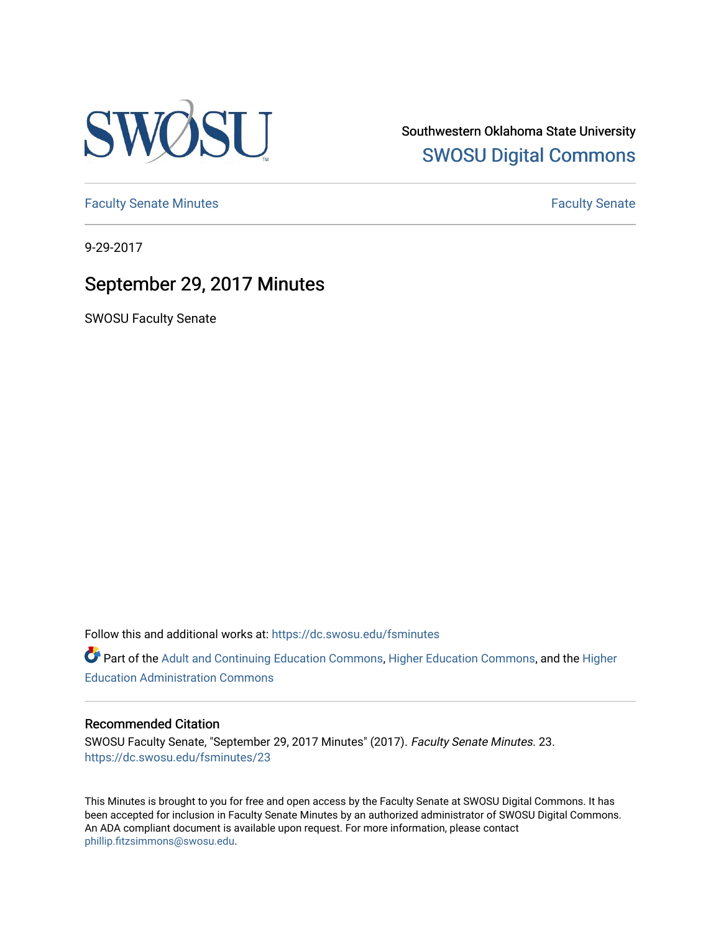

Southwestern Oklahoma State University [SWOSU Digital Commons](https://dc.swosu.edu/) 

[Faculty Senate Minutes](https://dc.swosu.edu/fsminutes) **Faculty** Senate Minutes

9-29-2017

## September 29, 2017 Minutes

SWOSU Faculty Senate

Follow this and additional works at: [https://dc.swosu.edu/fsminutes](https://dc.swosu.edu/fsminutes?utm_source=dc.swosu.edu%2Ffsminutes%2F23&utm_medium=PDF&utm_campaign=PDFCoverPages) 

Part of the [Adult and Continuing Education Commons,](http://network.bepress.com/hgg/discipline/1375?utm_source=dc.swosu.edu%2Ffsminutes%2F23&utm_medium=PDF&utm_campaign=PDFCoverPages) [Higher Education Commons,](http://network.bepress.com/hgg/discipline/1245?utm_source=dc.swosu.edu%2Ffsminutes%2F23&utm_medium=PDF&utm_campaign=PDFCoverPages) and the [Higher](http://network.bepress.com/hgg/discipline/791?utm_source=dc.swosu.edu%2Ffsminutes%2F23&utm_medium=PDF&utm_campaign=PDFCoverPages) [Education Administration Commons](http://network.bepress.com/hgg/discipline/791?utm_source=dc.swosu.edu%2Ffsminutes%2F23&utm_medium=PDF&utm_campaign=PDFCoverPages) 

#### Recommended Citation

SWOSU Faculty Senate, "September 29, 2017 Minutes" (2017). Faculty Senate Minutes. 23. [https://dc.swosu.edu/fsminutes/23](https://dc.swosu.edu/fsminutes/23?utm_source=dc.swosu.edu%2Ffsminutes%2F23&utm_medium=PDF&utm_campaign=PDFCoverPages) 

This Minutes is brought to you for free and open access by the Faculty Senate at SWOSU Digital Commons. It has been accepted for inclusion in Faculty Senate Minutes by an authorized administrator of SWOSU Digital Commons. An ADA compliant document is available upon request. For more information, please contact [phillip.fitzsimmons@swosu.edu](mailto:phillip.fitzsimmons@swosu.edu).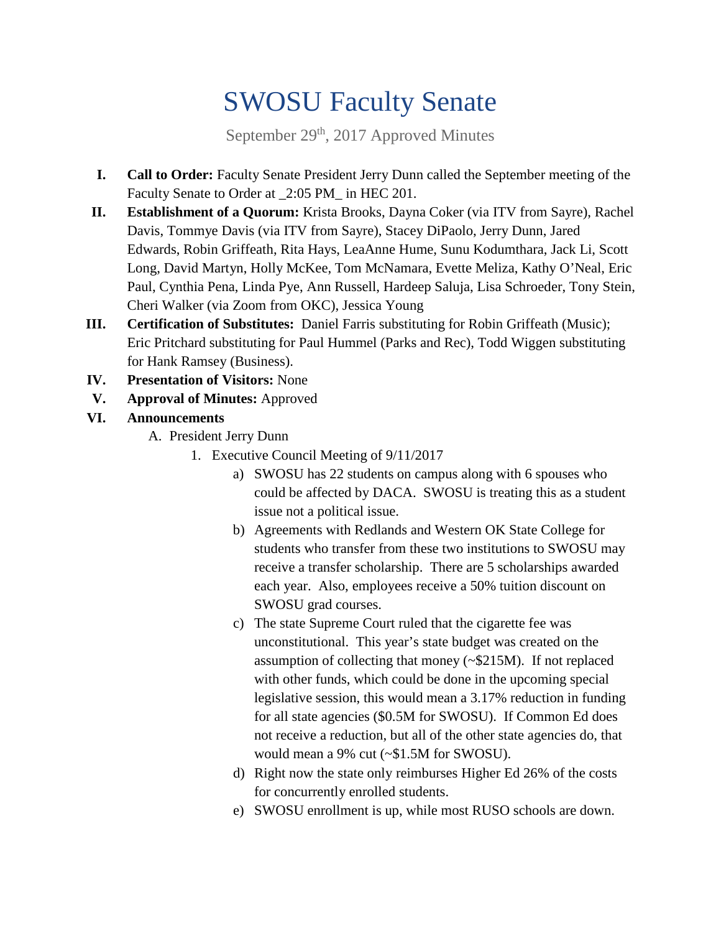# SWOSU Faculty Senate

September 29<sup>th</sup>, 2017 Approved Minutes

- **I. Call to Order:** Faculty Senate President Jerry Dunn called the September meeting of the Faculty Senate to Order at \_2:05 PM\_ in HEC 201.
- **II. Establishment of a Quorum:** Krista Brooks, Dayna Coker (via ITV from Sayre), Rachel Davis, Tommye Davis (via ITV from Sayre), Stacey DiPaolo, Jerry Dunn, Jared Edwards, Robin Griffeath, Rita Hays, LeaAnne Hume, Sunu Kodumthara, Jack Li, Scott Long, David Martyn, Holly McKee, Tom McNamara, Evette Meliza, Kathy O'Neal, Eric Paul, Cynthia Pena, Linda Pye, Ann Russell, Hardeep Saluja, Lisa Schroeder, Tony Stein, Cheri Walker (via Zoom from OKC), Jessica Young
- **III. Certification of Substitutes:** Daniel Farris substituting for Robin Griffeath (Music); Eric Pritchard substituting for Paul Hummel (Parks and Rec), Todd Wiggen substituting for Hank Ramsey (Business).
- **IV. Presentation of Visitors:** None
- **V. Approval of Minutes:** Approved
- **VI. Announcements**
	- A. President Jerry Dunn
		- 1. Executive Council Meeting of 9/11/2017
			- a) SWOSU has 22 students on campus along with 6 spouses who could be affected by DACA. SWOSU is treating this as a student issue not a political issue.
			- b) Agreements with Redlands and Western OK State College for students who transfer from these two institutions to SWOSU may receive a transfer scholarship. There are 5 scholarships awarded each year. Also, employees receive a 50% tuition discount on SWOSU grad courses.
			- c) The state Supreme Court ruled that the cigarette fee was unconstitutional. This year's state budget was created on the assumption of collecting that money (~\$215M). If not replaced with other funds, which could be done in the upcoming special legislative session, this would mean a 3.17% reduction in funding for all state agencies (\$0.5M for SWOSU). If Common Ed does not receive a reduction, but all of the other state agencies do, that would mean a 9% cut (~\$1.5M for SWOSU).
			- d) Right now the state only reimburses Higher Ed 26% of the costs for concurrently enrolled students.
			- e) SWOSU enrollment is up, while most RUSO schools are down.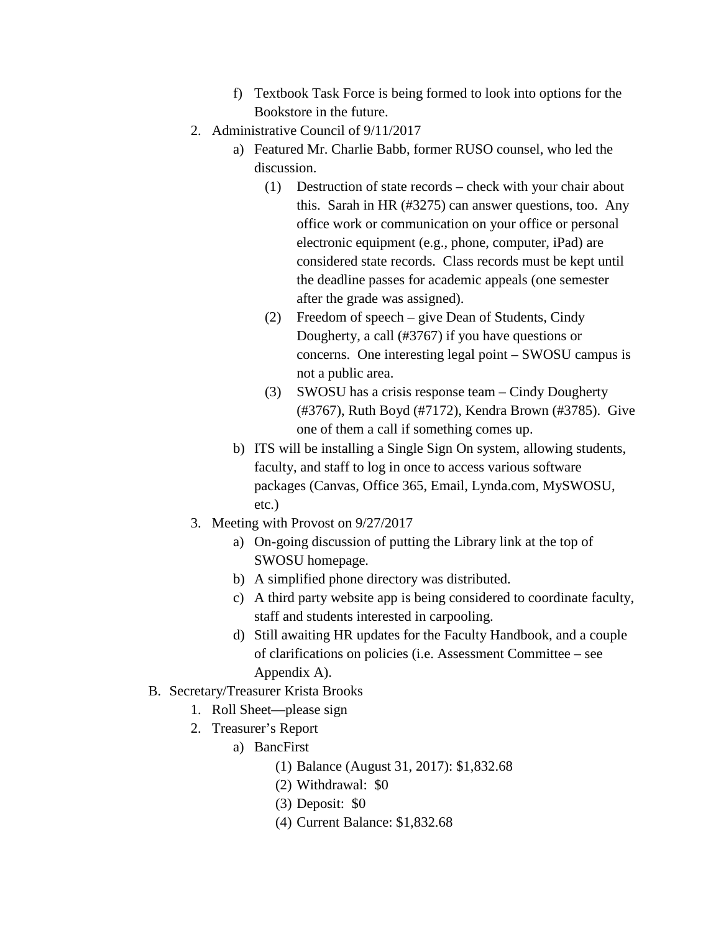- f) Textbook Task Force is being formed to look into options for the Bookstore in the future.
- 2. Administrative Council of 9/11/2017
	- a) Featured Mr. Charlie Babb, former RUSO counsel, who led the discussion.
		- (1) Destruction of state records check with your chair about this. Sarah in HR (#3275) can answer questions, too. Any office work or communication on your office or personal electronic equipment (e.g., phone, computer, iPad) are considered state records. Class records must be kept until the deadline passes for academic appeals (one semester after the grade was assigned).
		- (2) Freedom of speech give Dean of Students, Cindy Dougherty, a call (#3767) if you have questions or concerns. One interesting legal point – SWOSU campus is not a public area.
		- (3) SWOSU has a crisis response team Cindy Dougherty (#3767), Ruth Boyd (#7172), Kendra Brown (#3785). Give one of them a call if something comes up.
	- b) ITS will be installing a Single Sign On system, allowing students, faculty, and staff to log in once to access various software packages (Canvas, Office 365, Email, Lynda.com, MySWOSU, etc.)
- 3. Meeting with Provost on 9/27/2017
	- a) On-going discussion of putting the Library link at the top of SWOSU homepage.
	- b) A simplified phone directory was distributed.
	- c) A third party website app is being considered to coordinate faculty, staff and students interested in carpooling.
	- d) Still awaiting HR updates for the Faculty Handbook, and a couple of clarifications on policies (i.e. Assessment Committee – see Appendix A).
- B. Secretary/Treasurer Krista Brooks
	- 1. Roll Sheet—please sign
	- 2. Treasurer's Report
		- a) BancFirst
			- (1) Balance (August 31, 2017): \$1,832.68
			- (2) Withdrawal: \$0
			- (3) Deposit: \$0
			- (4) Current Balance: \$1,832.68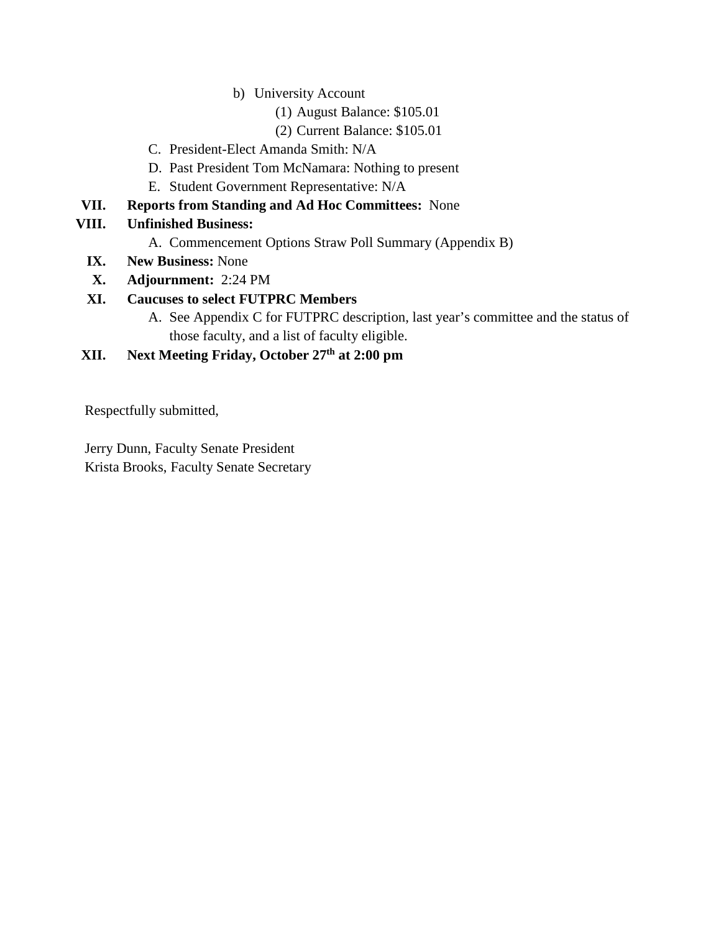- b) University Account
	- (1) August Balance: \$105.01
	- (2) Current Balance: \$105.01
- C. President-Elect Amanda Smith: N/A
- D. Past President Tom McNamara: Nothing to present
- E. Student Government Representative: N/A
- **VII. Reports from Standing and Ad Hoc Committees:** None
- **VIII. Unfinished Business:** 
	- A. Commencement Options Straw Poll Summary (Appendix B)
	- **IX. New Business:** None
	- **X. Adjournment:** 2:24 PM

#### **XI. Caucuses to select FUTPRC Members**

A. See Appendix C for FUTPRC description, last year's committee and the status of those faculty, and a list of faculty eligible.

### **XII. Next Meeting Friday, October 27th at 2:00 pm**

Respectfully submitted,

Jerry Dunn, Faculty Senate President Krista Brooks, Faculty Senate Secretary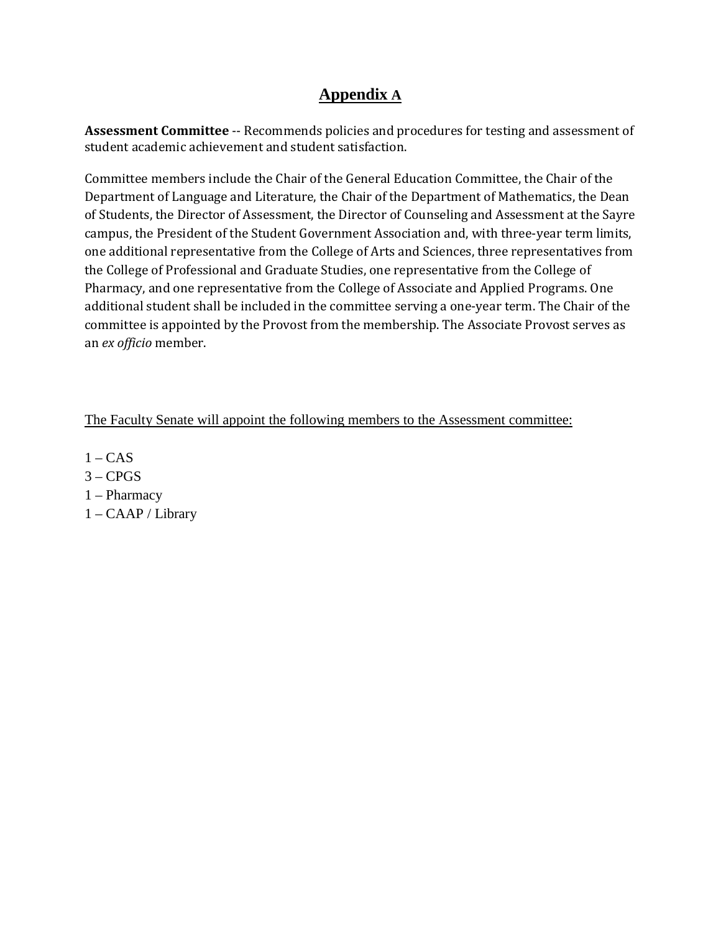## **Appendix A**

**Assessment Committee** -- Recommends policies and procedures for testing and assessment of student academic achievement and student satisfaction.

Committee members include the Chair of the General Education Committee, the Chair of the Department of Language and Literature, the Chair of the Department of Mathematics, the Dean of Students, the Director of Assessment, the Director of Counseling and Assessment at the Sayre campus, the President of the Student Government Association and, with three-year term limits, one additional representative from the College of Arts and Sciences, three representatives from the College of Professional and Graduate Studies, one representative from the College of Pharmacy, and one representative from the College of Associate and Applied Programs. One additional student shall be included in the committee serving a one-year term. The Chair of the committee is appointed by the Provost from the membership. The Associate Provost serves as an *ex officio* member.

The Faculty Senate will appoint the following members to the Assessment committee:

- $1 CAS$
- $3 CPGS$
- 1 Pharmacy
- 1 CAAP / Library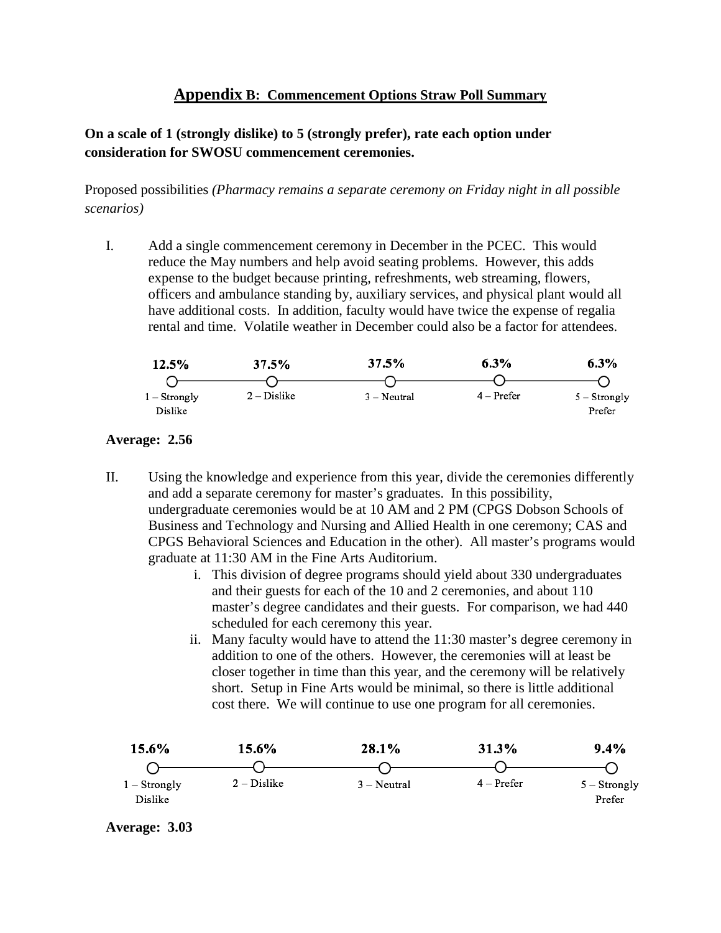#### **Appendix B: Commencement Options Straw Poll Summary**

#### **On a scale of 1 (strongly dislike) to 5 (strongly prefer), rate each option under consideration for SWOSU commencement ceremonies.**

Proposed possibilities *(Pharmacy remains a separate ceremony on Friday night in all possible scenarios)*

I. Add a single commencement ceremony in December in the PCEC. This would reduce the May numbers and help avoid seating problems. However, this adds expense to the budget because printing, refreshments, web streaming, flowers, officers and ambulance standing by, auxiliary services, and physical plant would all have additional costs. In addition, faculty would have twice the expense of regalia rental and time. Volatile weather in December could also be a factor for attendees.

| 12.5%                     | 37.5%         | 37.5%         | 6.3%         | 6.3%                     |
|---------------------------|---------------|---------------|--------------|--------------------------|
|                           |               |               |              |                          |
| $1 -$ Strongly<br>Dislike | $2 - Distike$ | $3 - Neutral$ | $4 -$ Prefer | $5 -$ Strongly<br>Prefer |

#### **Average: 2.56**

- II. Using the knowledge and experience from this year, divide the ceremonies differently and add a separate ceremony for master's graduates. In this possibility, undergraduate ceremonies would be at 10 AM and 2 PM (CPGS Dobson Schools of Business and Technology and Nursing and Allied Health in one ceremony; CAS and CPGS Behavioral Sciences and Education in the other). All master's programs would graduate at 11:30 AM in the Fine Arts Auditorium.
	- i. This division of degree programs should yield about 330 undergraduates and their guests for each of the 10 and 2 ceremonies, and about 110 master's degree candidates and their guests. For comparison, we had 440 scheduled for each ceremony this year.
	- ii. Many faculty would have to attend the 11:30 master's degree ceremony in addition to one of the others. However, the ceremonies will at least be closer together in time than this year, and the ceremony will be relatively short. Setup in Fine Arts would be minimal, so there is little additional cost there. We will continue to use one program for all ceremonies.



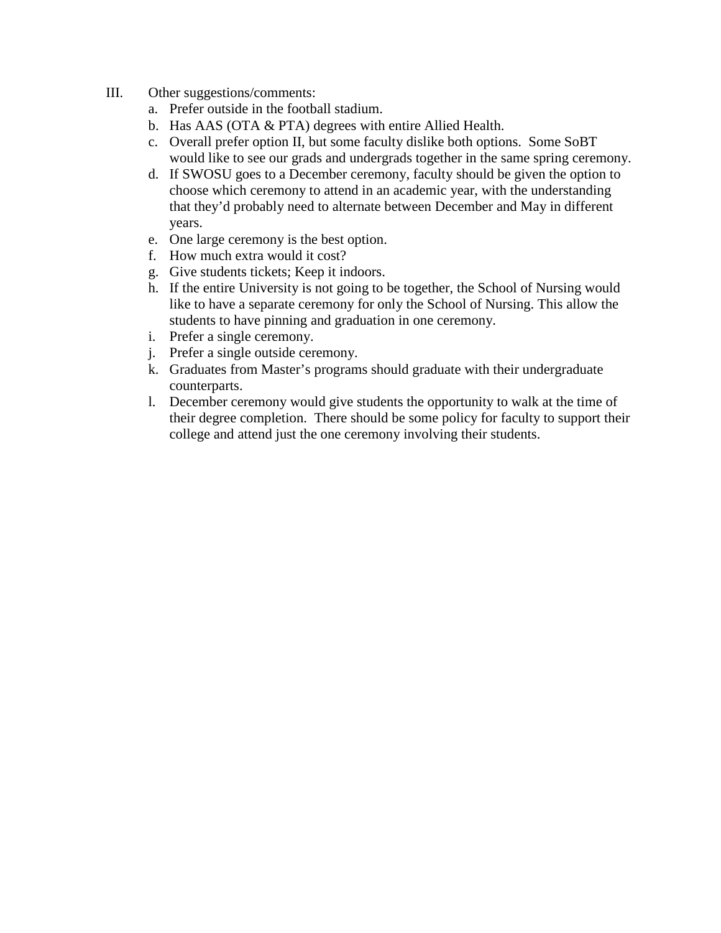- III. Other suggestions/comments:
	- a. Prefer outside in the football stadium.
	- b. Has AAS (OTA & PTA) degrees with entire Allied Health.
	- c. Overall prefer option II, but some faculty dislike both options. Some SoBT would like to see our grads and undergrads together in the same spring ceremony.
	- d. If SWOSU goes to a December ceremony, faculty should be given the option to choose which ceremony to attend in an academic year, with the understanding that they'd probably need to alternate between December and May in different years.
	- e. One large ceremony is the best option.
	- f. How much extra would it cost?
	- g. Give students tickets; Keep it indoors.
	- h. If the entire University is not going to be together, the School of Nursing would like to have a separate ceremony for only the School of Nursing. This allow the students to have pinning and graduation in one ceremony.
	- i. Prefer a single ceremony.
	- j. Prefer a single outside ceremony.
	- k. Graduates from Master's programs should graduate with their undergraduate counterparts.
	- l. December ceremony would give students the opportunity to walk at the time of their degree completion. There should be some policy for faculty to support their college and attend just the one ceremony involving their students.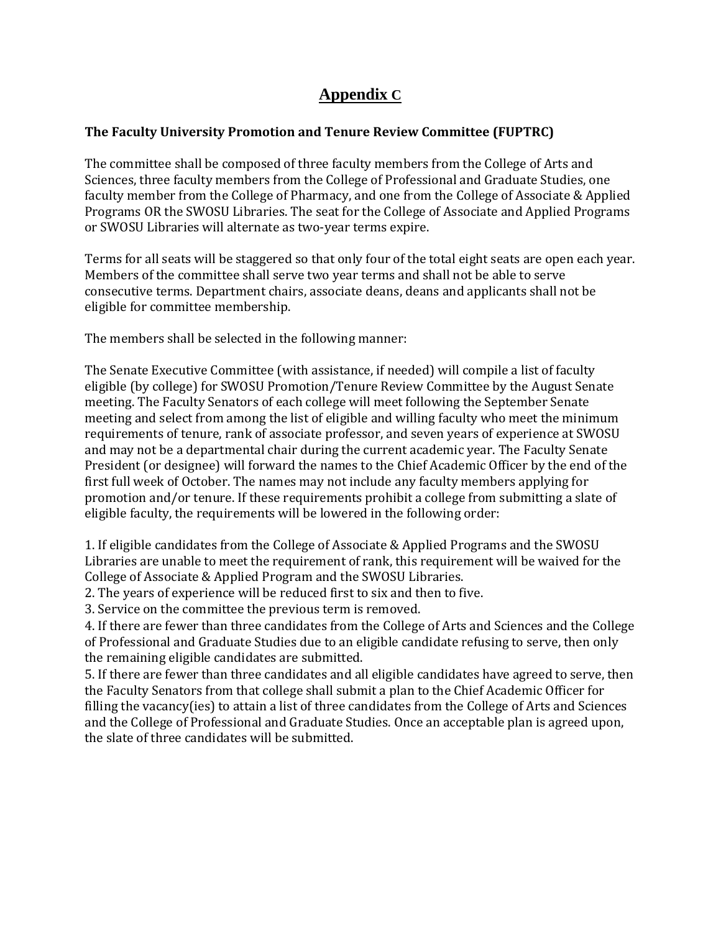## **Appendix C**

#### **The Faculty University Promotion and Tenure Review Committee (FUPTRC)**

The committee shall be composed of three faculty members from the College of Arts and Sciences, three faculty members from the College of Professional and Graduate Studies, one faculty member from the College of Pharmacy, and one from the College of Associate & Applied Programs OR the SWOSU Libraries. The seat for the College of Associate and Applied Programs or SWOSU Libraries will alternate as two-year terms expire.

Terms for all seats will be staggered so that only four of the total eight seats are open each year. Members of the committee shall serve two year terms and shall not be able to serve consecutive terms. Department chairs, associate deans, deans and applicants shall not be eligible for committee membership.

The members shall be selected in the following manner:

The Senate Executive Committee (with assistance, if needed) will compile a list of faculty eligible (by college) for SWOSU Promotion/Tenure Review Committee by the August Senate meeting. The Faculty Senators of each college will meet following the September Senate meeting and select from among the list of eligible and willing faculty who meet the minimum requirements of tenure, rank of associate professor, and seven years of experience at SWOSU and may not be a departmental chair during the current academic year. The Faculty Senate President (or designee) will forward the names to the Chief Academic Officer by the end of the first full week of October. The names may not include any faculty members applying for promotion and/or tenure. If these requirements prohibit a college from submitting a slate of eligible faculty, the requirements will be lowered in the following order:

1. If eligible candidates from the College of Associate & Applied Programs and the SWOSU Libraries are unable to meet the requirement of rank, this requirement will be waived for the College of Associate & Applied Program and the SWOSU Libraries.

2. The years of experience will be reduced first to six and then to five.

3. Service on the committee the previous term is removed.

4. If there are fewer than three candidates from the College of Arts and Sciences and the College of Professional and Graduate Studies due to an eligible candidate refusing to serve, then only the remaining eligible candidates are submitted.

5. If there are fewer than three candidates and all eligible candidates have agreed to serve, then the Faculty Senators from that college shall submit a plan to the Chief Academic Officer for filling the vacancy(ies) to attain a list of three candidates from the College of Arts and Sciences and the College of Professional and Graduate Studies. Once an acceptable plan is agreed upon, the slate of three candidates will be submitted.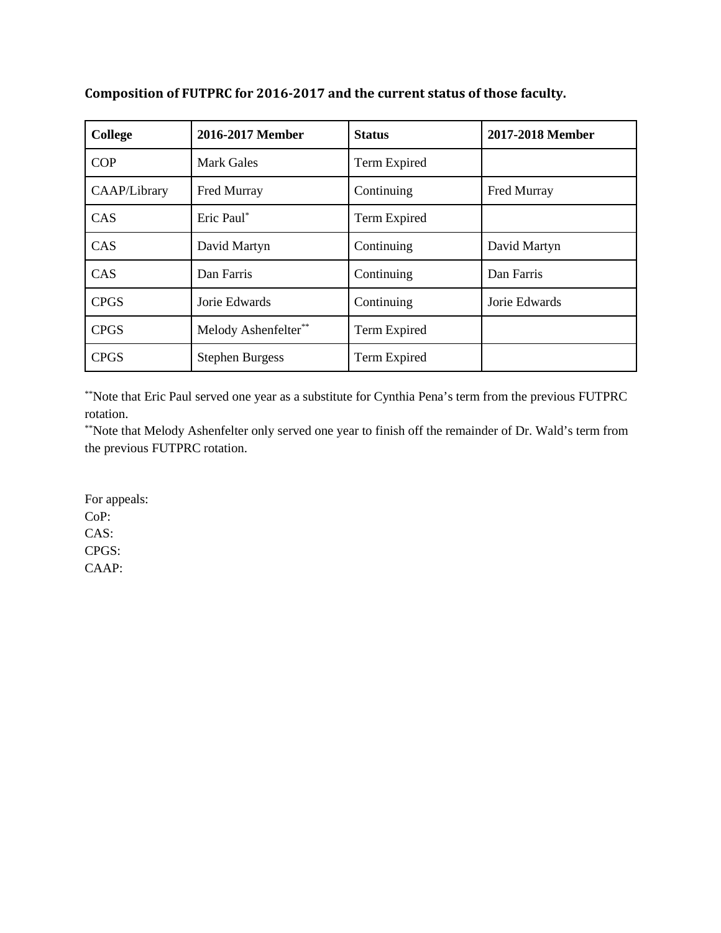| <b>College</b> | 2016-2017 Member       | <b>Status</b> | 2017-2018 Member |
|----------------|------------------------|---------------|------------------|
| <b>COP</b>     | <b>Mark Gales</b>      | Term Expired  |                  |
| CAAP/Library   | Fred Murray            | Continuing    | Fred Murray      |
| CAS            | Eric Paul*             | Term Expired  |                  |
| CAS            | David Martyn           | Continuing    | David Martyn     |
| CAS            | Dan Farris             | Continuing    | Dan Farris       |
| <b>CPGS</b>    | Jorie Edwards          | Continuing    | Jorie Edwards    |
| <b>CPGS</b>    | Melody Ashenfelter**   | Term Expired  |                  |
| <b>CPGS</b>    | <b>Stephen Burgess</b> | Term Expired  |                  |

**Composition of FUTPRC for 2016-2017 and the current status of those faculty.**

\*\*Note that Eric Paul served one year as a substitute for Cynthia Pena's term from the previous FUTPRC rotation.

\*\*Note that Melody Ashenfelter only served one year to finish off the remainder of Dr. Wald's term from the previous FUTPRC rotation.

For appeals: CoP: CAS: CPGS: CAAP: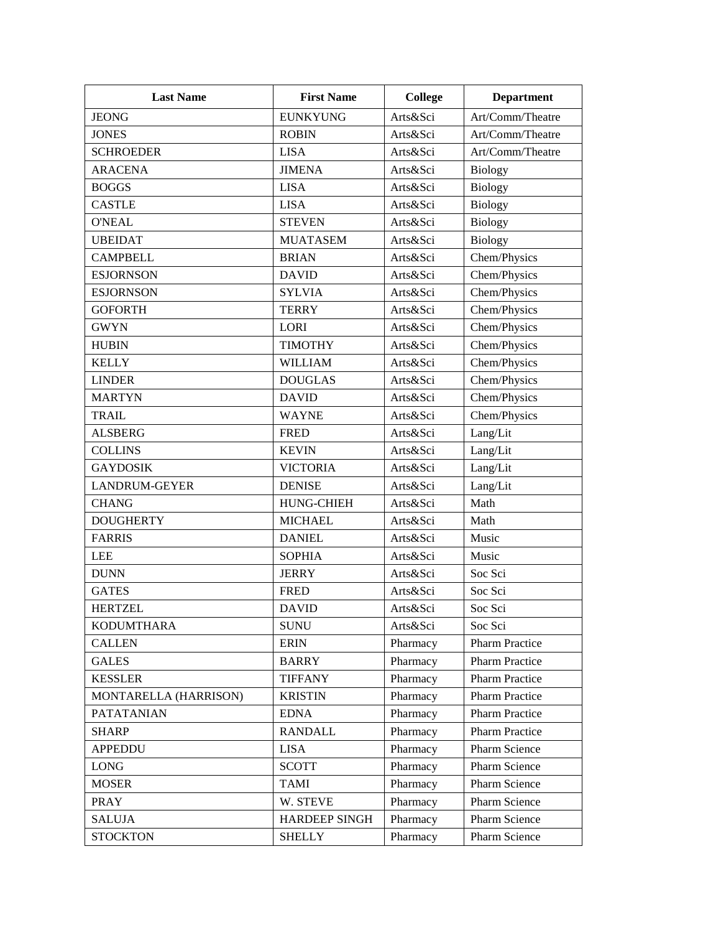| <b>Last Name</b>      | <b>First Name</b>    | <b>College</b> | <b>Department</b>     |
|-----------------------|----------------------|----------------|-----------------------|
| <b>JEONG</b>          | <b>EUNKYUNG</b>      | Arts&Sci       | Art/Comm/Theatre      |
| <b>JONES</b>          | <b>ROBIN</b>         | Arts&Sci       | Art/Comm/Theatre      |
| <b>SCHROEDER</b>      | <b>LISA</b>          | Arts&Sci       | Art/Comm/Theatre      |
| <b>ARACENA</b>        | <b>JIMENA</b>        | Arts&Sci       | <b>Biology</b>        |
| <b>BOGGS</b>          | <b>LISA</b>          | Arts&Sci       | <b>Biology</b>        |
| <b>CASTLE</b>         | <b>LISA</b>          | Arts&Sci       | <b>Biology</b>        |
| <b>O'NEAL</b>         | <b>STEVEN</b>        | Arts&Sci       | <b>Biology</b>        |
| <b>UBEIDAT</b>        | <b>MUATASEM</b>      | Arts&Sci       | <b>Biology</b>        |
| <b>CAMPBELL</b>       | <b>BRIAN</b>         | Arts&Sci       | Chem/Physics          |
| <b>ESJORNSON</b>      | <b>DAVID</b>         | Arts&Sci       | Chem/Physics          |
| <b>ESJORNSON</b>      | <b>SYLVIA</b>        | Arts&Sci       | Chem/Physics          |
| <b>GOFORTH</b>        | <b>TERRY</b>         | Arts&Sci       | Chem/Physics          |
| <b>GWYN</b>           | LORI                 | Arts&Sci       | Chem/Physics          |
| <b>HUBIN</b>          | <b>TIMOTHY</b>       | Arts&Sci       | Chem/Physics          |
| <b>KELLY</b>          | <b>WILLIAM</b>       | Arts&Sci       | Chem/Physics          |
| <b>LINDER</b>         | <b>DOUGLAS</b>       | Arts&Sci       | Chem/Physics          |
| <b>MARTYN</b>         | <b>DAVID</b>         | Arts&Sci       | Chem/Physics          |
| <b>TRAIL</b>          | <b>WAYNE</b>         | Arts&Sci       | Chem/Physics          |
| <b>ALSBERG</b>        | <b>FRED</b>          | Arts&Sci       | Lang/Lit              |
| <b>COLLINS</b>        | <b>KEVIN</b>         | Arts&Sci       | Lang/Lit              |
| <b>GAYDOSIK</b>       | <b>VICTORIA</b>      | Arts&Sci       | Lang/Lit              |
| <b>LANDRUM-GEYER</b>  | <b>DENISE</b>        | Arts&Sci       | Lang/Lit              |
| <b>CHANG</b>          | <b>HUNG-CHIEH</b>    | Arts&Sci       | Math                  |
| <b>DOUGHERTY</b>      | <b>MICHAEL</b>       | Arts&Sci       | Math                  |
| <b>FARRIS</b>         | <b>DANIEL</b>        | Arts&Sci       | Music                 |
| <b>LEE</b>            | <b>SOPHIA</b>        | Arts&Sci       | Music                 |
| <b>DUNN</b>           | <b>JERRY</b>         | Arts&Sci       | Soc Sci               |
| <b>GATES</b>          | <b>FRED</b>          | Arts&Sci       | Soc Sci               |
| <b>HERTZEL</b>        | <b>DAVID</b>         | Arts&Sci       | Soc Sci               |
| <b>KODUMTHARA</b>     | <b>SUNU</b>          | Arts&Sci       | Soc Sci               |
| <b>CALLEN</b>         | <b>ERIN</b>          | Pharmacy       | <b>Pharm Practice</b> |
| <b>GALES</b>          | <b>BARRY</b>         | Pharmacy       | <b>Pharm Practice</b> |
| <b>KESSLER</b>        | <b>TIFFANY</b>       | Pharmacy       | Pharm Practice        |
| MONTARELLA (HARRISON) | <b>KRISTIN</b>       | Pharmacy       | <b>Pharm Practice</b> |
| <b>PATATANIAN</b>     | <b>EDNA</b>          | Pharmacy       | Pharm Practice        |
| <b>SHARP</b>          | <b>RANDALL</b>       | Pharmacy       | <b>Pharm Practice</b> |
| <b>APPEDDU</b>        | <b>LISA</b>          | Pharmacy       | Pharm Science         |
| LONG                  | <b>SCOTT</b>         | Pharmacy       | Pharm Science         |
| <b>MOSER</b>          | <b>TAMI</b>          | Pharmacy       | Pharm Science         |
| <b>PRAY</b>           | W. STEVE             | Pharmacy       | Pharm Science         |
| <b>SALUJA</b>         | <b>HARDEEP SINGH</b> | Pharmacy       | Pharm Science         |
| <b>STOCKTON</b>       | <b>SHELLY</b>        | Pharmacy       | Pharm Science         |